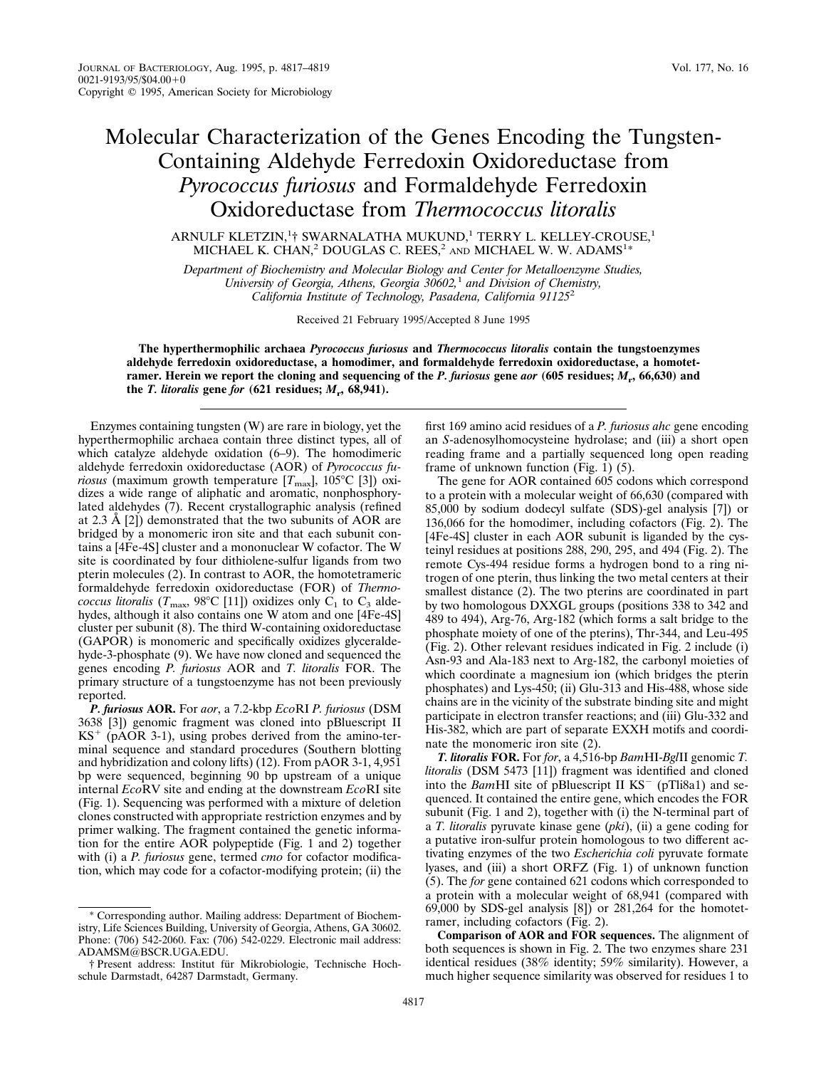## Molecular Characterization of the Genes Encoding the Tungsten-Containing Aldehyde Ferredoxin Oxidoreductase from *Pyrococcus furiosus* and Formaldehyde Ferredoxin Oxidoreductase from *Thermococcus litoralis*

ARNULF KLETZIN, ${}^{1}_{1}$  SWARNALATHA MUKUND, ${}^{1}$  TERRY L. KELLEY-CROUSE, ${}^{1}$ MICHAEL K. CHAN,<sup>2</sup> DOUGLAS C. REES,<sup>2</sup> AND MICHAEL W. W. ADAMS<sup>1\*</sup>

*Department of Biochemistry and Molecular Biology and Center for Metalloenzyme Studies, University of Georgia, Athens, Georgia 30602,*<sup>1</sup> *and Division of Chemistry, California Institute of Technology, Pasadena, California 91125*<sup>2</sup>

Received 21 February 1995/Accepted 8 June 1995

**The hyperthermophilic archaea** *Pyrococcus furiosus* **and** *Thermococcus litoralis* **contain the tungstoenzymes aldehyde ferredoxin oxidoreductase, a homodimer, and formaldehyde ferredoxin oxidoreductase, a homotetramer. Herein we report the cloning and sequencing of the** *P. furiosus* **gene** *aor* **(605 residues;** *M***r, 66,630) and** the *T. litoralis* gene *for*  $(621$  residues;  $M_r$ ,  $68,941$ ).

Enzymes containing tungsten (W) are rare in biology, yet the hyperthermophilic archaea contain three distinct types, all of which catalyze aldehyde oxidation (6–9). The homodimeric aldehyde ferredoxin oxidoreductase (AOR) of *Pyrococcus furiosus* (maximum growth temperature  $[T_{\text{max}}]$ , 105°C [3]) oxidizes a wide range of aliphatic and aromatic, nonphosphorylated aldehydes (7). Recent crystallographic analysis (refined at 2.3 Å [2]) demonstrated that the two subunits of AOR are bridged by a monomeric iron site and that each subunit contains a [4Fe-4S] cluster and a mononuclear W cofactor. The W site is coordinated by four dithiolene-sulfur ligands from two pterin molecules (2). In contrast to AOR, the homotetrameric formaldehyde ferredoxin oxidoreductase (FOR) of *Thermococcus litoralis* ( $T_{\text{max}}$ , 98°C [11]) oxidizes only C<sub>1</sub> to C<sub>3</sub> aldehydes, although it also contains one W atom and one [4Fe-4S] cluster per subunit (8). The third W-containing oxidoreductase (GAPOR) is monomeric and specifically oxidizes glyceraldehyde-3-phosphate (9). We have now cloned and sequenced the genes encoding *P. furiosus* AOR and *T. litoralis* FOR. The primary structure of a tungstoenzyme has not been previously reported.

*P. furiosus* **AOR.** For *aor*, a 7.2-kbp *Eco*RI *P. furiosus* (DSM 3638 [3]) genomic fragment was cloned into pBluescript II  $KS^+$  (pAOR 3-1), using probes derived from the amino-terminal sequence and standard procedures (Southern blotting and hybridization and colony lifts) (12). From pAOR 3-1, 4,951 bp were sequenced, beginning 90 bp upstream of a unique internal *Eco*RV site and ending at the downstream *Eco*RI site (Fig. 1). Sequencing was performed with a mixture of deletion clones constructed with appropriate restriction enzymes and by primer walking. The fragment contained the genetic information for the entire AOR polypeptide (Fig. 1 and 2) together with (i) a *P. furiosus* gene, termed *cmo* for cofactor modification, which may code for a cofactor-modifying protein; (ii) the

first 169 amino acid residues of a *P. furiosus ahc* gene encoding an *S*-adenosylhomocysteine hydrolase; and (iii) a short open reading frame and a partially sequenced long open reading frame of unknown function (Fig. 1) (5).

The gene for AOR contained 605 codons which correspond to a protein with a molecular weight of 66,630 (compared with 85,000 by sodium dodecyl sulfate (SDS)-gel analysis [7]) or 136,066 for the homodimer, including cofactors (Fig. 2). The [4Fe-4S] cluster in each AOR subunit is liganded by the cysteinyl residues at positions 288, 290, 295, and 494 (Fig. 2). The remote Cys-494 residue forms a hydrogen bond to a ring nitrogen of one pterin, thus linking the two metal centers at their smallest distance (2). The two pterins are coordinated in part by two homologous DXXGL groups (positions 338 to 342 and 489 to 494), Arg-76, Arg-182 (which forms a salt bridge to the phosphate moiety of one of the pterins), Thr-344, and Leu-495 (Fig. 2). Other relevant residues indicated in Fig. 2 include (i) Asn-93 and Ala-183 next to Arg-182, the carbonyl moieties of which coordinate a magnesium ion (which bridges the pterin phosphates) and Lys-450; (ii) Glu-313 and His-488, whose side chains are in the vicinity of the substrate binding site and might participate in electron transfer reactions; and (iii) Glu-332 and His-382, which are part of separate EXXH motifs and coordinate the monomeric iron site (2).

*T. litoralis* **FOR.** For *for*, a 4,516-bp *Bam*HI-*Bgl*II genomic *T. litoralis* (DSM 5473 [11]) fragment was identified and cloned into the *Bam*HI site of pBluescript II KS<sup>-</sup> (pTli8a1) and sequenced. It contained the entire gene, which encodes the FOR subunit (Fig. 1 and 2), together with (i) the N-terminal part of a *T. litoralis* pyruvate kinase gene (*pki*), (ii) a gene coding for a putative iron-sulfur protein homologous to two different activating enzymes of the two *Escherichia coli* pyruvate formate lyases, and (iii) a short ORFZ (Fig. 1) of unknown function (5). The *for* gene contained 621 codons which corresponded to a protein with a molecular weight of 68,941 (compared with 69,000 by SDS-gel analysis [8]) or 281,264 for the homotetramer, including cofactors (Fig. 2).

**Comparison of AOR and FOR sequences.** The alignment of both sequences is shown in Fig. 2. The two enzymes share 231 identical residues (38% identity; 59% similarity). However, a much higher sequence similarity was observed for residues 1 to

<sup>\*</sup> Corresponding author. Mailing address: Department of Biochemistry, Life Sciences Building, University of Georgia, Athens, GA 30602. Phone: (706) 542-2060. Fax: (706) 542-0229. Electronic mail address: ADAMSM@BSCR.UGA.EDU.

<sup>†</sup> Present address: Institut fu¨r Mikrobiologie, Technische Hochschule Darmstadt, 64287 Darmstadt, Germany.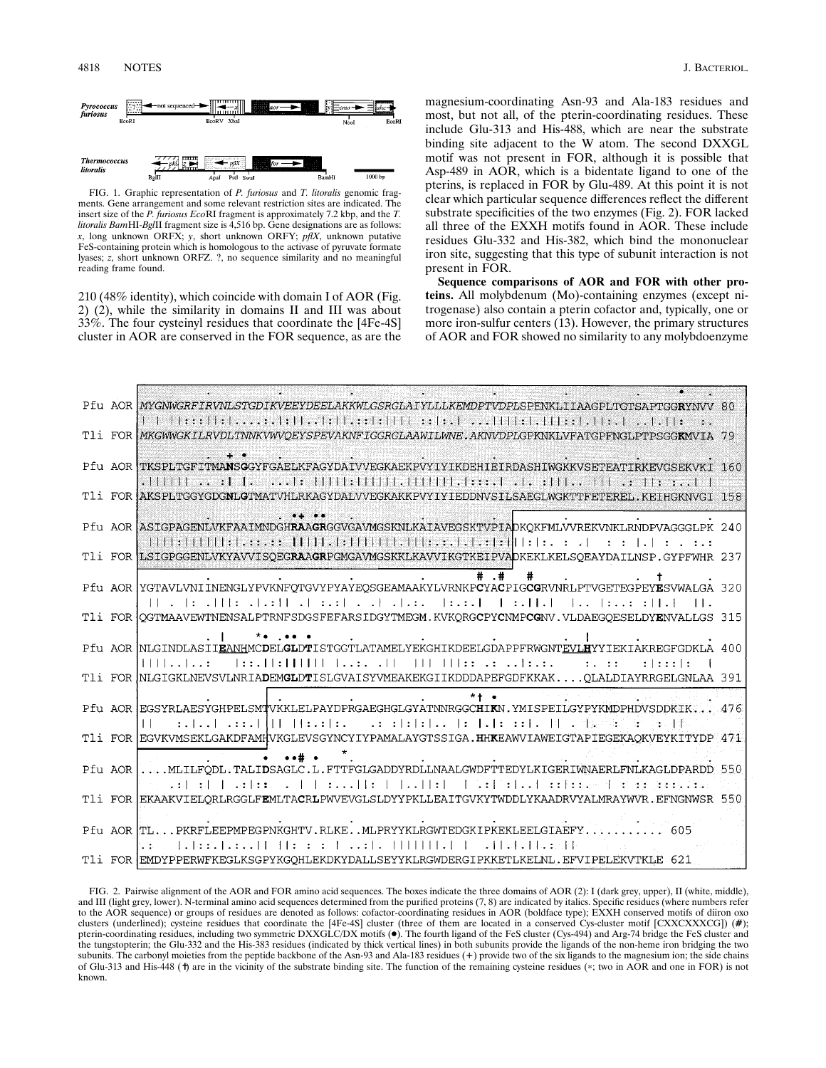

FIG. 1. Graphic representation of *P. furiosus* and *T. litoralis* genomic fragments. Gene arrangement and some relevant restriction sites are indicated. The insert size of the *P. furiosus Eco*RI fragment is approximately 7.2 kbp, and the *T. litoralis Bam*HI-*Bgl*II fragment size is 4,516 bp. Gene designations are as follows: *x*, long unknown ORFX; *y*, short unknown ORFY; *pflX*, unknown putative FeS-containing protein which is homologous to the activase of pyruvate formate lyases; *z*, short unknown ORFZ. ?, no sequence similarity and no meaningful reading frame found.

210 (48% identity), which coincide with domain I of AOR (Fig. 2) (2), while the similarity in domains II and III was about 33%. The four cysteinyl residues that coordinate the [4Fe-4S] cluster in AOR are conserved in the FOR sequence, as are the

magnesium-coordinating Asn-93 and Ala-183 residues and most, but not all, of the pterin-coordinating residues. These include Glu-313 and His-488, which are near the substrate binding site adjacent to the W atom. The second DXXGL motif was not present in FOR, although it is possible that Asp-489 in AOR, which is a bidentate ligand to one of the pterins, is replaced in FOR by Glu-489. At this point it is not clear which particular sequence differences reflect the different substrate specificities of the two enzymes (Fig. 2). FOR lacked all three of the EXXH motifs found in AOR. These include residues Glu-332 and His-382, which bind the mononuclear iron site, suggesting that this type of subunit interaction is not present in FOR.

**Sequence comparisons of AOR and FOR with other proteins.** All molybdenum (Mo)-containing enzymes (except nitrogenase) also contain a pterin cofactor and, typically, one or more iron-sulfur centers (13). However, the primary structures of AOR and FOR showed no similarity to any molybdoenzyme

|  | Pfu AOR MYGNWGRFIRVNLSTGDIKVEEYDEELAKKWLGSRGLAIYLLLKEMDPTVDPLSPENKLIIAAGPLTGTSAPTGGRYNVV 80              |  |
|--|----------------------------------------------------------------------------------------------------------|--|
|  | T1i FOR MKGWWGKILRVDLTNNKVWVOEYSPEVAKNFIGGRGLAAWILWNE.AKNVDPLGPKNKLVFATGPFNGLPTPSGGKMVIA 79              |  |
|  | Pfu AOR TKSPLTGFITMANSGGYFGAELKFAGYDAIVVEGKAEKPVYIYIKDEHIEIRDASHIWGKKVSETEATIRKEVGSEKVKI 160             |  |
|  |                                                                                                          |  |
|  | T1i FOR AKSPLTGGYGDGNLGTMATVHLRKAGYDALVVEGKAKKPVYIYIEDDNVSILSAEGLWGKTTFETEREL, KEIHGKNVGI 158            |  |
|  | Pfu AOR ASIGPAGENLVKFAAIMNDGHRAAGRGGVGAVMGSKNLKAIAVEGSKTVPIADKOKFMLVVREKVNKLRNDPVAGGGLPK 240             |  |
|  | T1i FOR LSIGPGGENLVKYAVVISQEGRAAGRPGMGAVMGSKKLKAVVIKGTKEIPVADKEKLKELSQEAYDAILNSP.GYPFWHR 237             |  |
|  |                                                                                                          |  |
|  | Pfu AOR YGTAVLVNIINENGLYPVKNFQTGVYPYAYEQSGEAMAAKYLVRNKPCYACPIGCGRVNRLPTVGETEGPEYESVWALGA 320             |  |
|  | T1i FOR QGTMAAVEWTNENSALPTRNFSDGSFEFARSIDGYTMEGM.KVKQRGCPYCNMPCGNV.VLDAEGQESELDYENVALLGS 315             |  |
|  | $*$ . $$<br>Pfu AOR NLGINDLASIIEANHMCDELGLDTISTGGTLATAMELYEKGHIKDEELGDAPPFRWGNTEVLHYYIEKIAKREGFGDKLA 400 |  |
|  | :   : : :   :                                                                                            |  |
|  | T1i FOR NLGIGKLNEVSVLNRIADEMGLDTISLGVAISYVMEAKEKGIIKDDDAPEFGDFKKAKOLALDIAYRRGELGNLAA 391                 |  |
|  | $*+$ .<br>Pfu AOR EGSYRLAESYGHPELSMTVKKLELPAYDPRGAEGHGLGYATNNRGGCHIKN.YMISPEILGYPYKMDPHDVSDDKIK 476      |  |
|  | $\perp$<br>T1i FOR EGVKVMSEKLGAKDFAMHVKGLEVSGYNCYIYPAMALAYGTSSIGA.HHKEAWVIAWEIGTAPIEGEKAQKVEYKITYDP 471  |  |
|  |                                                                                                          |  |
|  | Pfu AOR MLILFODL.TALIDSAGLC.L.FTTFGLGADDYRDLLNAALGWDFTTEDYLKIGERIWNAERLFNLKAGLDPARDD 550                 |  |
|  | T1i FOR EKAAKVIELORLRGGLFEMLTACRLPWVEVGLSLDYYPKLLEAITGVKYTWDDLYKAADRVYALMRAYWVR.EFNGNWSR 550             |  |
|  |                                                                                                          |  |
|  | Pfu AOR TLPKRFLEEPMPEGPNKGHTV.RLKEMLPRYYKLRGWTEDGKIPKEKLEELGIAEFY<br>605<br>1.11.11.11.13.11<br>tire.    |  |
|  | T1i FOR EMDYPPERWFKEGLKSGPYKGOHLEKDKYDALLSEYYKLRGWDERGIPKKETLKELNL.EFVIPELEKVTKLE 621                    |  |

FIG. 2. Pairwise alignment of the AOR and FOR amino acid sequences. The boxes indicate the three domains of AOR (2): I (dark grey, upper), II (white, middle), and III (light grey, lower). N-terminal amino acid sequences determined from the purified proteins (7, 8) are indicated by italics. Specific residues (where numbers refer to the AOR sequence) or groups of residues are denoted as follows: cofactor-coordinating residues in AOR (boldface type); EXXH conserved motifs of diiron oxo clusters (underlined); cysteine residues that coordinate the [4Fe-4S] cluster (three of them are located in a conserved Cys-cluster motif [CXXCXXXCG]) (**#**); pterin-coordinating residues, including two symmetric DXXGLC/DX motifs (●). The fourth ligand of the FeS cluster (Cys-494) and Arg-74 bridge the FeS cluster and the tungstopterin; the Glu-332 and the His-383 residues (indicated by thick vertical lines) in both subunits provide the ligands of the non-heme iron bridging the two subunits. The carbonyl moieties from the peptide backbone of the Asn-93 and Ala-183 residues (+) provide two of the six ligands to the magnesium ion; the side chains of Glu-313 and His-448 (†) are in the vicinity of the substrate binding site. The function of the remaining cysteine residues (\*; two in AOR and one in FOR) is not known.